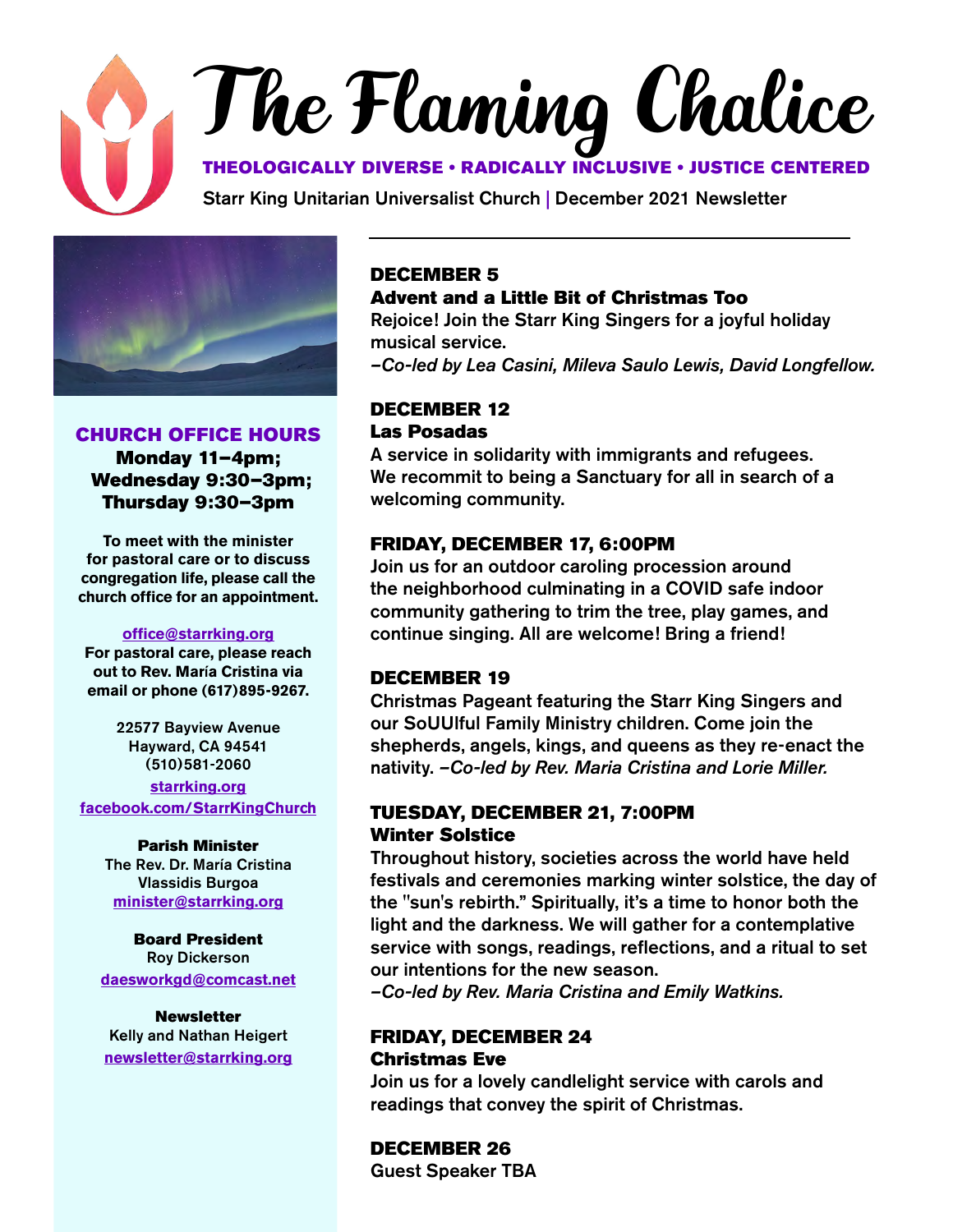# The Flaming Chalice THEOLOGICALLY DIVERSE • RADICALLY INCLUSIVE • JUSTICE CENTERED Starr King Unitarian Universalist Church | December 2021 Newsletter



## CHURCH OFFICE HOURS

Monday 11–4pm; Wednesday 9:30–3pm; Thursday 9:30–3pm

**To meet with the minister for pastoral care or to discuss congregation life, please call the church office for an appointment.**

#### **[office@starrking.org](mailto:office@starrking.org)**

**For pastoral care, please reach out to Rev. Mar**í**a Cristina via email or phone (617)895-9267.** 

> 22577 Bayview Avenue Hayward, CA 94541 (510)581-2060

> > **[starrking.org](http://starrking.org)**

**[facebook.com/StarrKingChurch](http://facebook.com/StarrKingChurch)**

#### Parish Minister

The Rev. Dr. María Cristina Vlassidis Burgoa **[minister@starrking.org](mailto:minister@starrking.org)**

#### Board President Roy Dickerson **[daesworkgd@comcast.net](mailto:daesworkgd%40comcast.net?subject=)**

**Newsletter** Kelly and Nathan Heigert **[newsletter@starrking.org](mailto:newsletter%40starrking.org?subject=)**

#### DECEMBER 5

## Advent and a Little Bit of Christmas Too

Rejoice! Join the Starr King Singers for a joyful holiday musical service.

*–Co-led by Lea Casini, Mileva Saulo Lewis, David Longfellow.*

## DECEMBER 12 Las Posadas

A service in solidarity with immigrants and refugees. We recommit to being a Sanctuary for all in search of a welcoming community.

### FRIDAY, DECEMBER 17, 6:00PM

Join us for an outdoor caroling procession around the neighborhood culminating in a COVID safe indoor community gathering to trim the tree, play games, and continue singing. All are welcome! Bring a friend!

### DECEMBER 19

Christmas Pageant featuring the Starr King Singers and our SoUUlful Family Ministry children. Come join the shepherds, angels, kings, and queens as they re-enact the nativity. *–Co-led by Rev. Maria Cristina and Lorie Miller.*

### TUESDAY, DECEMBER 21, 7:00PM Winter Solstice

Throughout history, societies across the world have held festivals and ceremonies marking winter solstice, the day of the "sun's rebirth." Spiritually, it's a time to honor both the light and the darkness. We will gather for a contemplative service with songs, readings, reflections, and a ritual to set our intentions for the new season.

*–Co-led by Rev. Maria Cristina and Emily Watkins.*

### FRIDAY, DECEMBER 24 Christmas Eve

Join us for a lovely candlelight service with carols and readings that convey the spirit of Christmas.

## DECEMBER 26

Guest Speaker TBA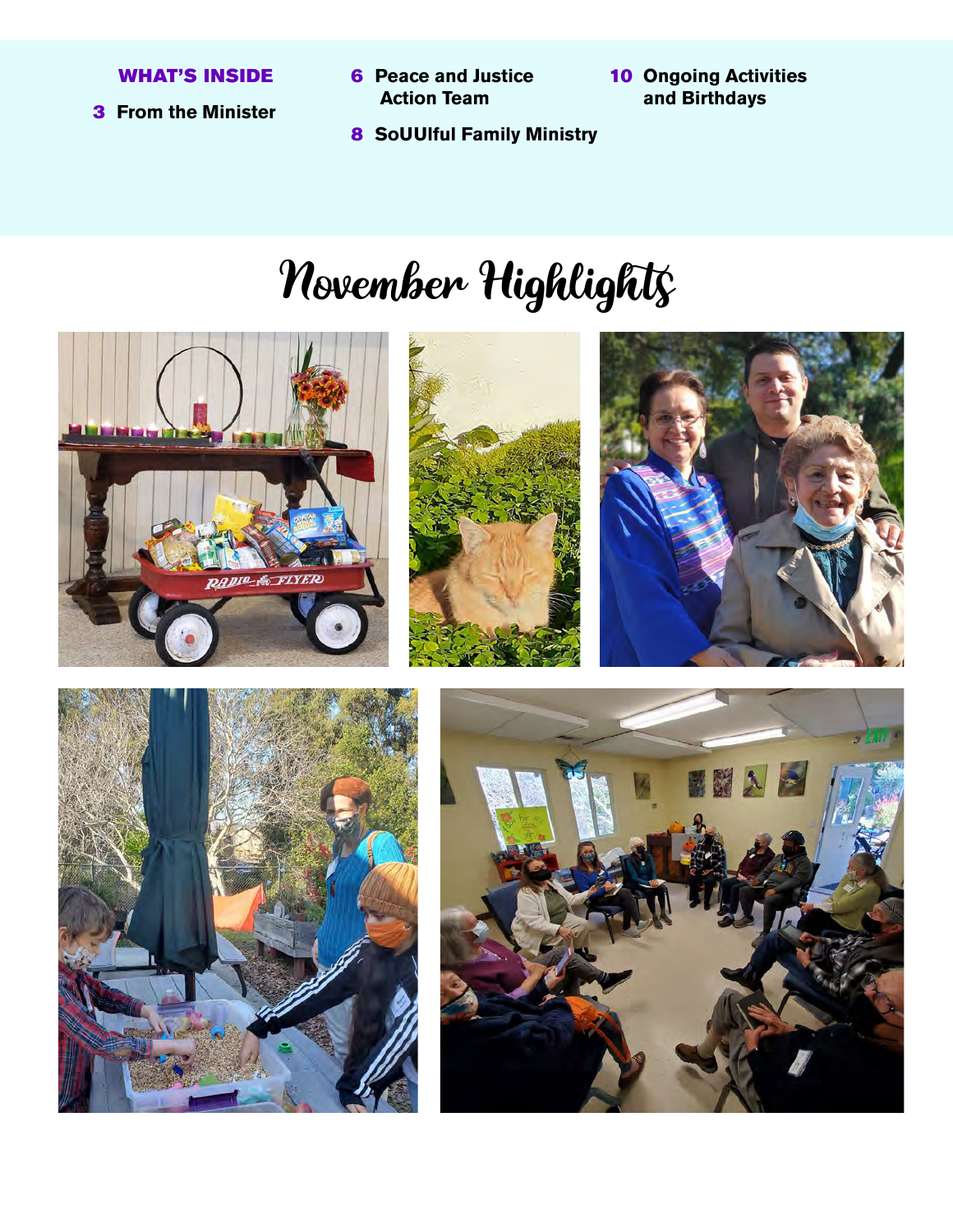#### WHAT'S INSIDE

- 3 **From the Minister**
- 6 **Peace and Justice Action Team**
- 10  **Ongoing Activities and Birthdays**
- 8 **SoUUlful Family Ministry**

# November Highlights





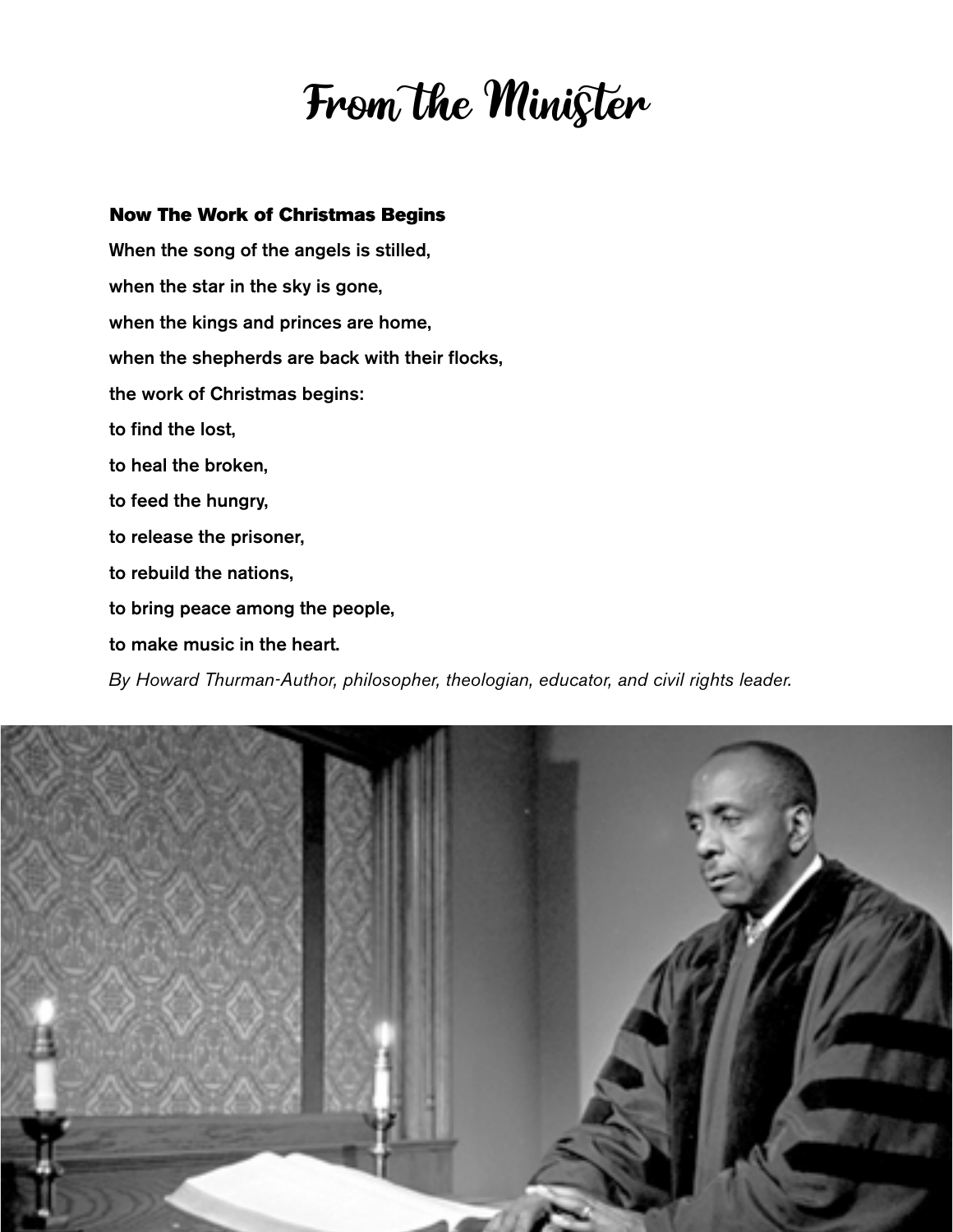# From the Minister

# Now The Work of Christmas Begins When the song of the angels is stilled, when the star in the sky is gone, when the kings and princes are home, when the shepherds are back with their flocks, the work of Christmas begins: to find the lost, to heal the broken, to feed the hungry, to release the prisoner, to rebuild the nations, to bring peace among the people, to make music in the heart. *By Howard Thurman-Author, philosopher, theologian, educator, and civil rights leader.*

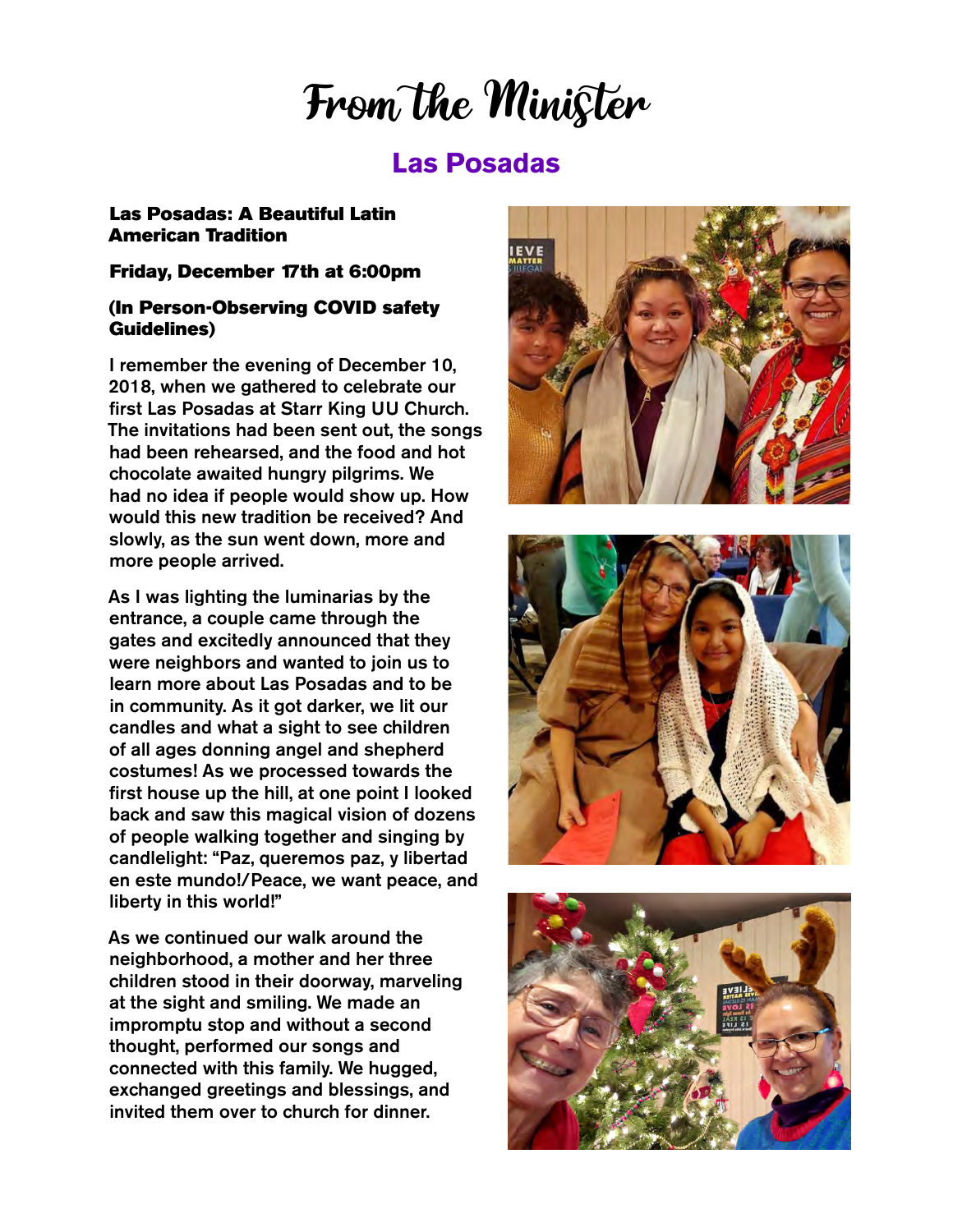# From the Minister

## **Las Posadas**

#### Las Posadas: A Beautiful Latin American Tradition

#### Friday, December 17th at 6:00pm

#### (In Person-Observing COVID safety Guidelines)

I remember the evening of December 10, 2018, when we gathered to celebrate our first Las Posadas at Starr King UU Church. The invitations had been sent out, the songs had been rehearsed, and the food and hot chocolate awaited hungry pilgrims. We had no idea if people would show up. How would this new tradition be received? And slowly, as the sun went down, more and more people arrived.

As I was lighting the luminarias by the entrance, a couple came through the gates and excitedly announced that they were neighbors and wanted to join us to learn more about Las Posadas and to be in community. As it got darker, we lit our candles and what a sight to see children of all ages donning angel and shepherd costumes! As we processed towards the first house up the hill, at one point I looked back and saw this magical vision of dozens of people walking together and singing by candlelight: "Paz, queremos paz, y libertad en este mundo!/Peace, we want peace, and liberty in this world!"

As we continued our walk around the neighborhood, a mother and her three children stood in their doorway, marveling at the sight and smiling. We made an impromptu stop and without a second thought, performed our songs and connected with this family. We hugged, exchanged greetings and blessings, and invited them over to church for dinner.





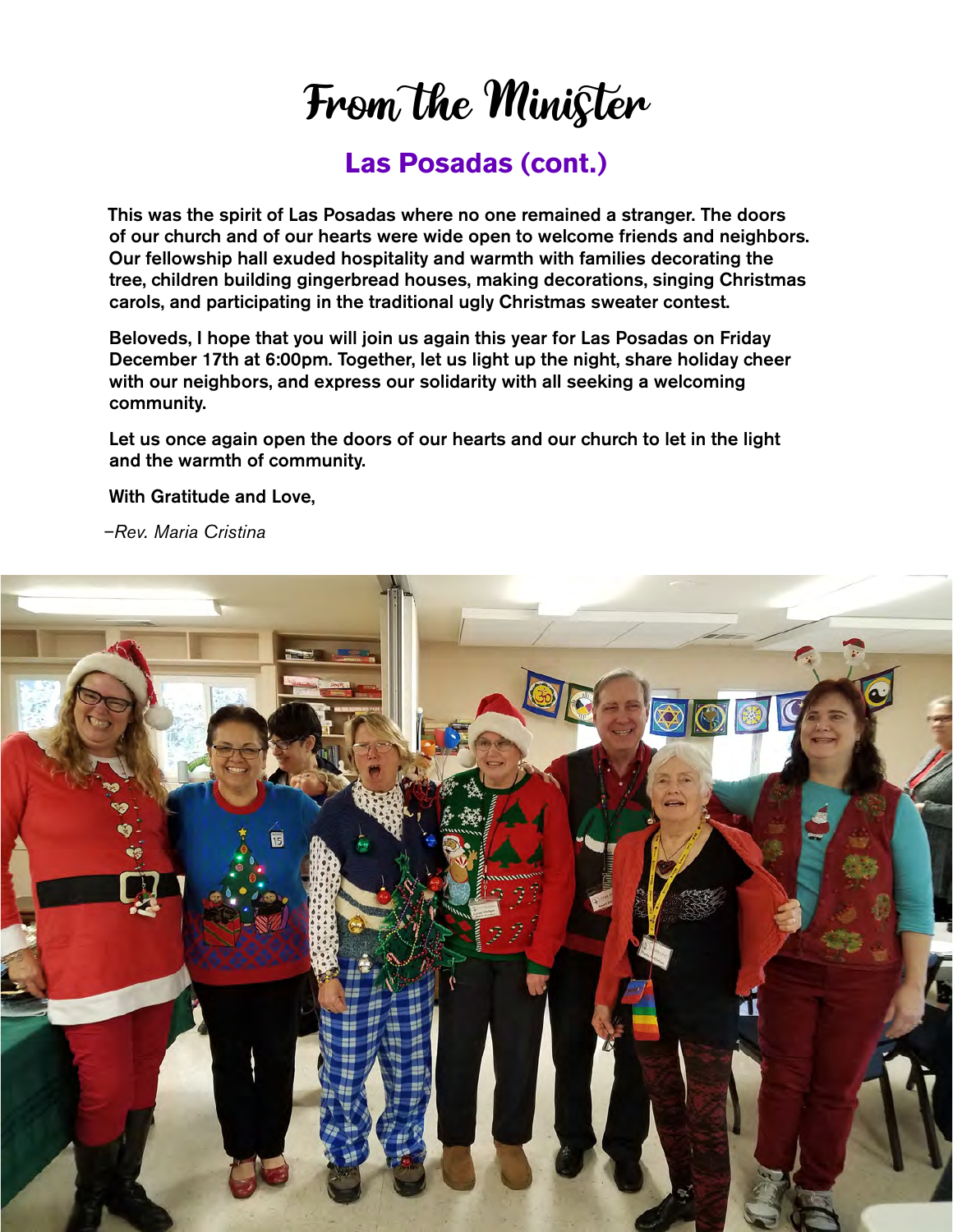# From the Minister

# **Las Posadas (cont.)**

This was the spirit of Las Posadas where no one remained a stranger. The doors of our church and of our hearts were wide open to welcome friends and neighbors. Our fellowship hall exuded hospitality and warmth with families decorating the tree, children building gingerbread houses, making decorations, singing Christmas carols, and participating in the traditional ugly Christmas sweater contest.

Beloveds, I hope that you will join us again this year for Las Posadas on Friday December 17th at 6:00pm. Together, let us light up the night, share holiday cheer with our neighbors, and express our solidarity with all seeking a welcoming community.

Let us once again open the doors of our hearts and our church to let in the light and the warmth of community.

With Gratitude and Love,

*–Rev. Maria Cristina*

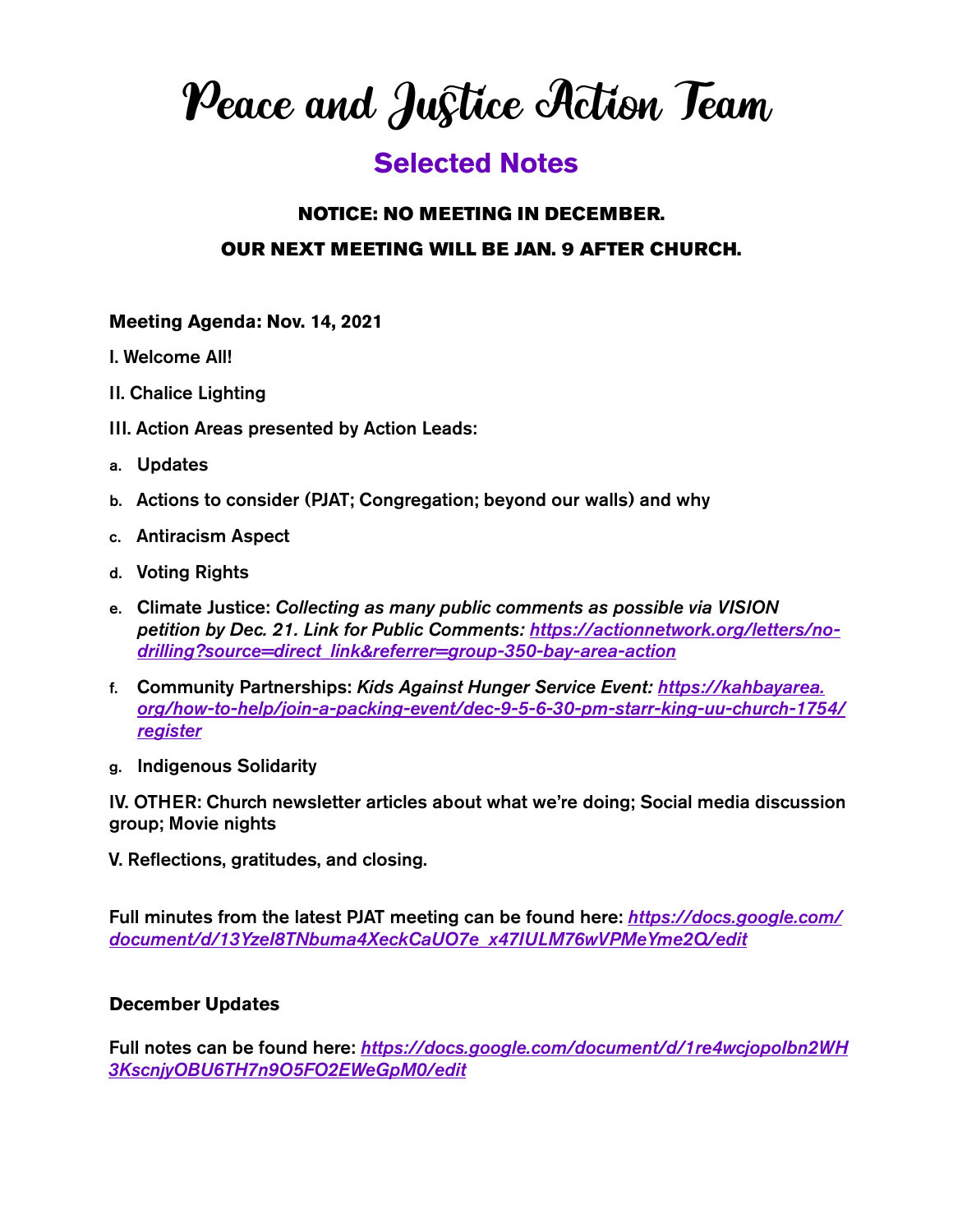Peace and Justice Action Team

# **Selected Notes**

# NOTICE: NO MEETING IN DECEMBER. OUR NEXT MEETING WILL BE JAN. 9 AFTER CHURCH.

### **Meeting Agenda: Nov. 14, 2021**

- I. Welcome All!
- II. Chalice Lighting
- III. Action Areas presented by Action Leads:
- a. Updates
- b. Actions to consider (PJAT; Congregation; beyond our walls) and why
- c. Antiracism Aspect
- d. Voting Rights
- e. Climate Justice: *Collecting as many public comments as possible via VISION petition by Dec. 21. Link for Public Comments: [https://actionnetwork.org/letters/no](https://actionnetwork.org/letters/no-drilling?source=direct_link&referrer=group-350-bay-area-action)[drilling?source=direct\\_link&referrer=group-350-bay-area-action](https://actionnetwork.org/letters/no-drilling?source=direct_link&referrer=group-350-bay-area-action)*
- f. Community Partnerships: *Kids Against Hunger Service Event: [https://kahbayarea.](https://kahbayarea.org/how-to-help/join-a-packing-event/dec-9-5-6-30-pm-starr-king-uu-church-1754/register) [org/how-to-help/join-a-packing-event/dec-9-5-6-30-pm-starr-king-uu-church-1754/](https://kahbayarea.org/how-to-help/join-a-packing-event/dec-9-5-6-30-pm-starr-king-uu-church-1754/register) [register](https://kahbayarea.org/how-to-help/join-a-packing-event/dec-9-5-6-30-pm-starr-king-uu-church-1754/register)*
- g. Indigenous Solidarity

IV. OTHER: Church newsletter articles about what we're doing; Social media discussion group; Movie nights

V. Reflections, gratitudes, and closing.

Full minutes from the latest PJAT meeting can be found here: *[https://docs.google.com/](https://docs.google.com/document/d/13YzeI8TNbuma4XeckCaUO7e_x47IULM76wVPMeYme2Q/edit) [document/d/13YzeI8TNbuma4XeckCaUO7e\\_x47IULM76wVPMeYme2Q/edit](https://docs.google.com/document/d/13YzeI8TNbuma4XeckCaUO7e_x47IULM76wVPMeYme2Q/edit)* 

### **December Updates**

Full notes can be found here: *[https://docs.google.com/document/d/1re4wcjopoIbn2WH](https://docs.google.com/document/d/1re4wcjopoIbn2WH3KscnjyOBU6TH7n9O5FO2EWeGpM0/edit) [3KscnjyOBU6TH7n9O5FO2EWeGpM0/edit](https://docs.google.com/document/d/1re4wcjopoIbn2WH3KscnjyOBU6TH7n9O5FO2EWeGpM0/edit)*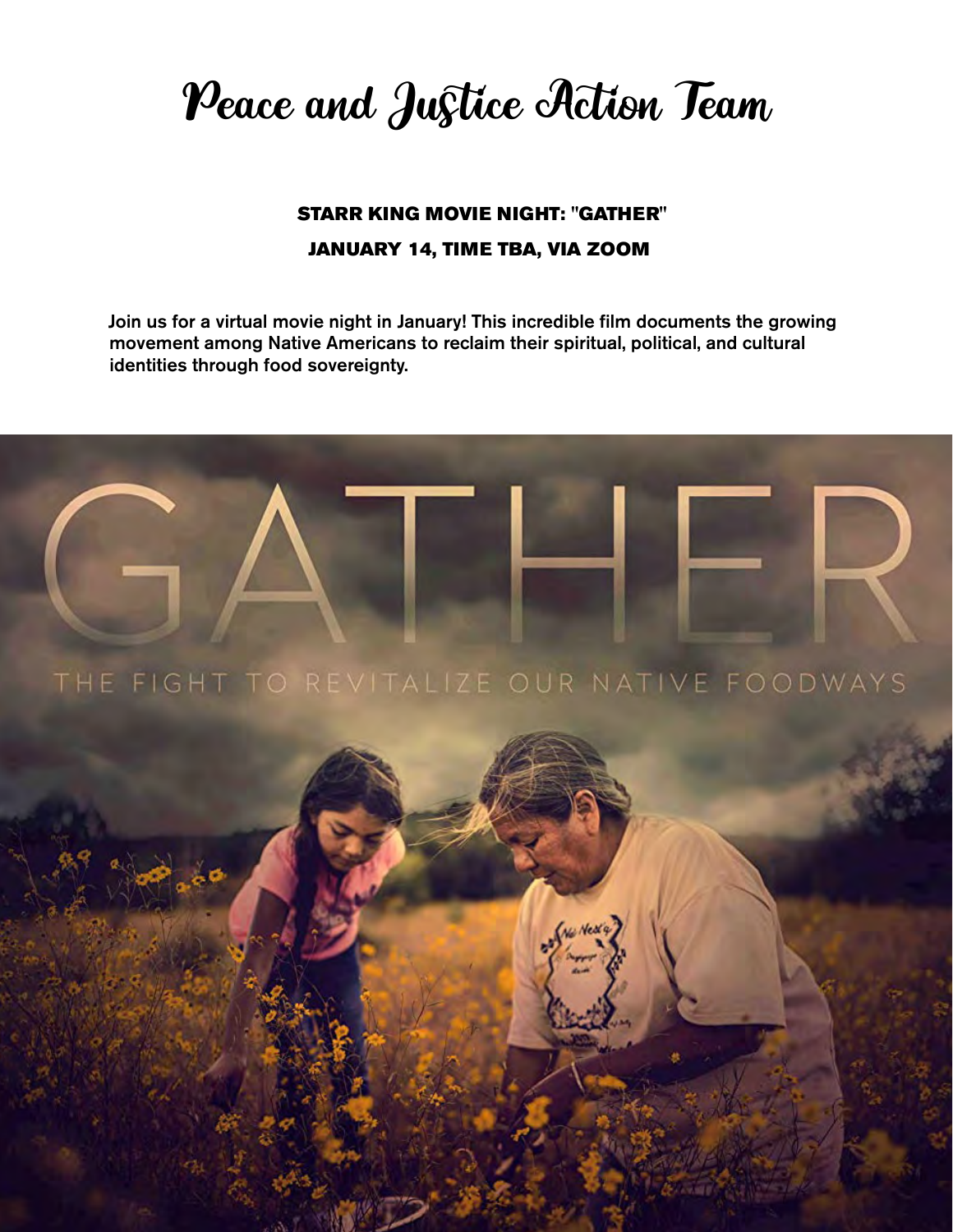Peace and Justice Action Team

## STARR KING MOVIE NIGHT: "GATHER" JANUARY 14, TIME TBA, VIA ZOOM

Join us for a virtual movie night in January! This incredible film documents the growing movement among Native Americans to reclaim their spiritual, political, and cultural identities through food sovereignty.

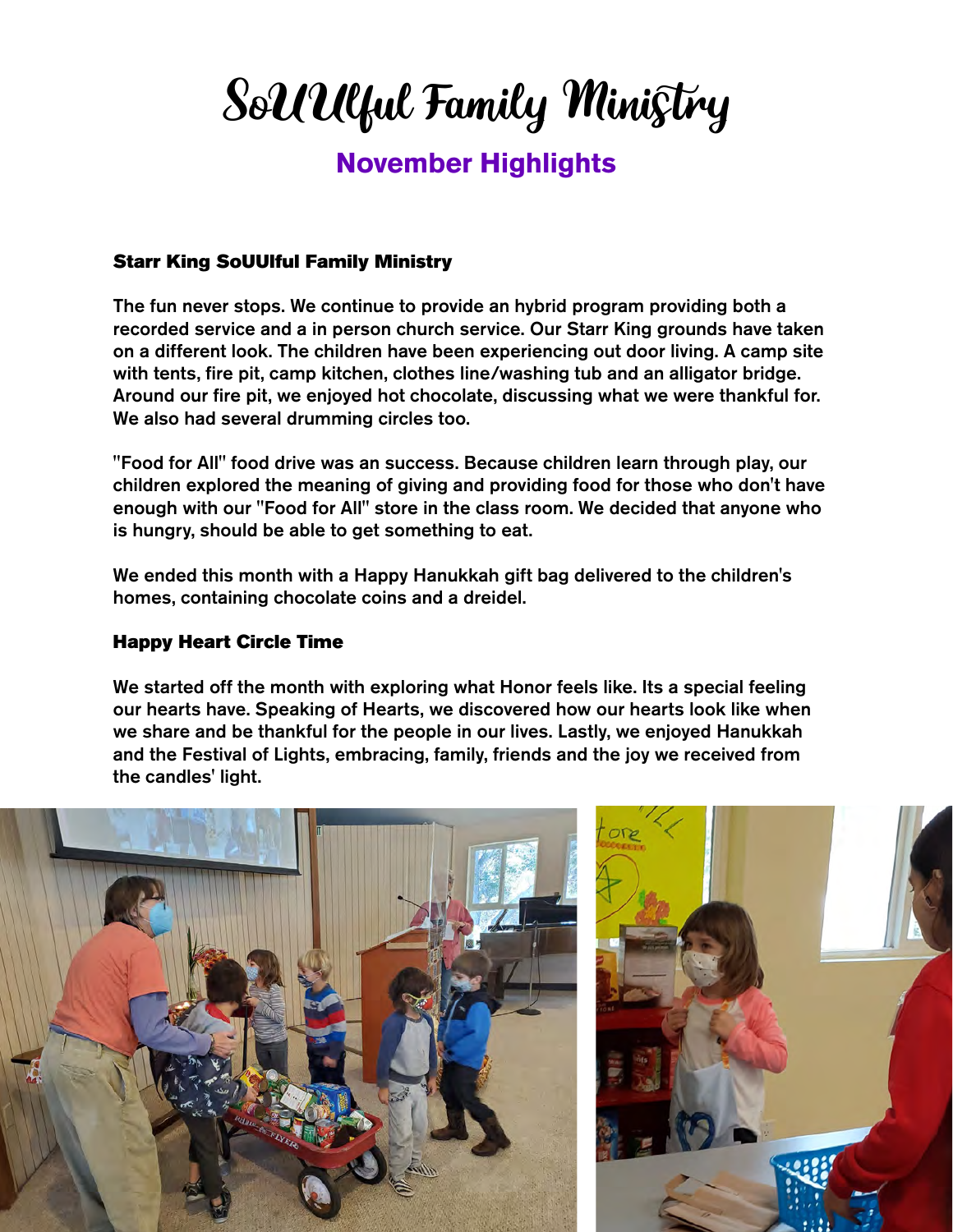# SoUUlful Family Ministry

# **November Highlights**

### Starr King SoUUlful Family Ministry

The fun never stops. We continue to provide an hybrid program providing both a recorded service and a in person church service. Our Starr King grounds have taken on a different look. The children have been experiencing out door living. A camp site with tents, fire pit, camp kitchen, clothes line/washing tub and an alligator bridge. Around our fire pit, we enjoyed hot chocolate, discussing what we were thankful for. We also had several drumming circles too.

"Food for All" food drive was an success. Because children learn through play, our children explored the meaning of giving and providing food for those who don't have enough with our "Food for All" store in the class room. We decided that anyone who is hungry, should be able to get something to eat.

We ended this month with a Happy Hanukkah gift bag delivered to the children's homes, containing chocolate coins and a dreidel.

### Happy Heart Circle Time

We started off the month with exploring what Honor feels like. Its a special feeling our hearts have. Speaking of Hearts, we discovered how our hearts look like when we share and be thankful for the people in our lives. Lastly, we enjoyed Hanukkah and the Festival of Lights, embracing, family, friends and the joy we received from the candles' light.

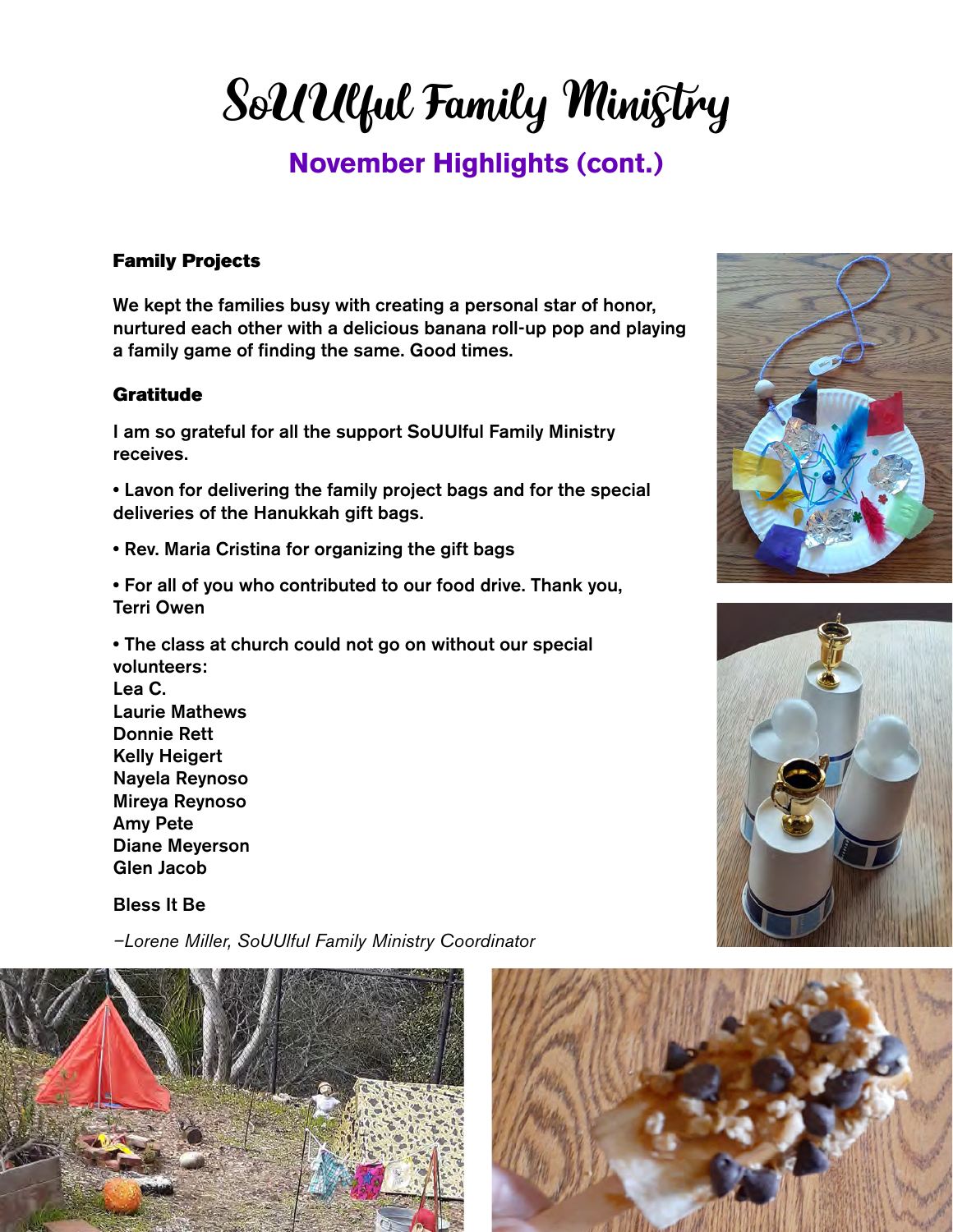# SoUUlful Family Ministry

# **November Highlights (cont.)**

## Family Projects

We kept the families busy with creating a personal star of honor, nurtured each other with a delicious banana roll-up pop and playing a family game of finding the same. Good times.

## **Gratitude**

I am so grateful for all the support SoUUlful Family Ministry receives.

• Lavon for delivering the family project bags and for the special deliveries of the Hanukkah gift bags.

- Rev. Maria Cristina for organizing the gift bags
- For all of you who contributed to our food drive. Thank you, Terri Owen
- The class at church could not go on without our special volunteers: Lea C. Laurie Mathews Donnie Rett Kelly Heigert Nayela Reynoso Mireya Reynoso Amy Pete Diane Meyerson Glen Jacob

Bless It Be

*–Lorene Miller, SoUUlful Family Ministry Coordinator*